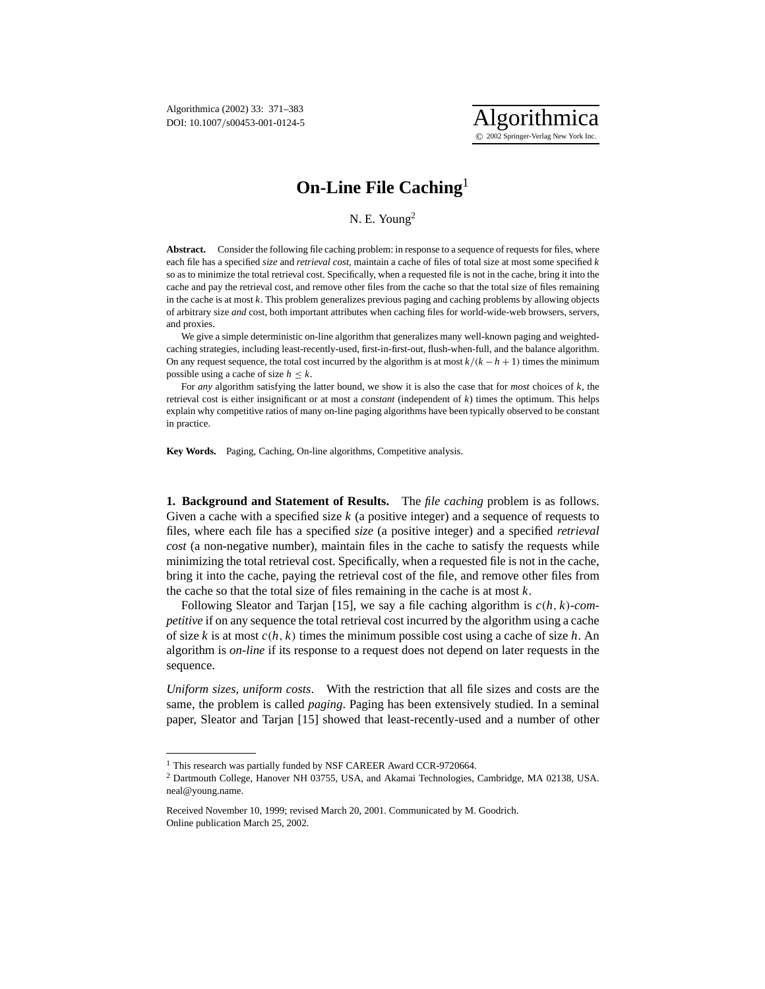

### N. E. Young<sup>2</sup>

**Abstract.** Consider the following file caching problem: in response to a sequence of requests for files, where each file has a specified *size* and *retrieval cost*, maintain a cache of files of total size at most some specified *k* so as to minimize the total retrieval cost. Specifically, when a requested file is not in the cache, bring it into the cache and pay the retrieval cost, and remove other files from the cache so that the total size of files remaining in the cache is at most *k*. This problem generalizes previous paging and caching problems by allowing objects of arbitrary size *and* cost, both important attributes when caching files for world-wide-web browsers, servers, and proxies.

We give a simple deterministic on-line algorithm that generalizes many well-known paging and weightedcaching strategies, including least-recently-used, first-in-first-out, flush-when-full, and the balance algorithm. On any request sequence, the total cost incurred by the algorithm is at most  $k/(k - h + 1)$  times the minimum possible using a cache of size  $h \leq k$ .

For *any* algorithm satisfying the latter bound, we show it is also the case that for *most* choices of *k*, the retrieval cost is either insignificant or at most a *constant* (independent of *k*) times the optimum. This helps explain why competitive ratios of many on-line paging algorithms have been typically observed to be constant in practice.

**Key Words.** Paging, Caching, On-line algorithms, Competitive analysis.

**1. Background and Statement of Results.** The *file caching* problem is as follows. Given a cache with a specified size *k* (a positive integer) and a sequence of requests to files, where each file has a specified *size* (a positive integer) and a specified *retrieval cost* (a non-negative number), maintain files in the cache to satisfy the requests while minimizing the total retrieval cost. Specifically, when a requested file is not in the cache, bring it into the cache, paying the retrieval cost of the file, and remove other files from the cache so that the total size of files remaining in the cache is at most *k*.

Following Sleator and Tarjan [15], we say a file caching algorithm is  $c(h, k)$ -com*petitive* if on any sequence the total retrieval cost incurred by the algorithm using a cache of size *k* is at most  $c(h, k)$  times the minimum possible cost using a cache of size *h*. An algorithm is *on-line* if its response to a request does not depend on later requests in the sequence.

*Uniform sizes*, *uniform costs*. With the restriction that all file sizes and costs are the same, the problem is called *paging*. Paging has been extensively studied. In a seminal paper, Sleator and Tarjan [15] showed that least-recently-used and a number of other

<sup>&</sup>lt;sup>1</sup> This research was partially funded by NSF CAREER Award CCR-9720664.

<sup>2</sup> Dartmouth College, Hanover NH 03755, USA, and Akamai Technologies, Cambridge, MA 02138, USA. neal@young.name.

Received November 10, 1999; revised March 20, 2001. Communicated by M. Goodrich. Online publication March 25, 2002.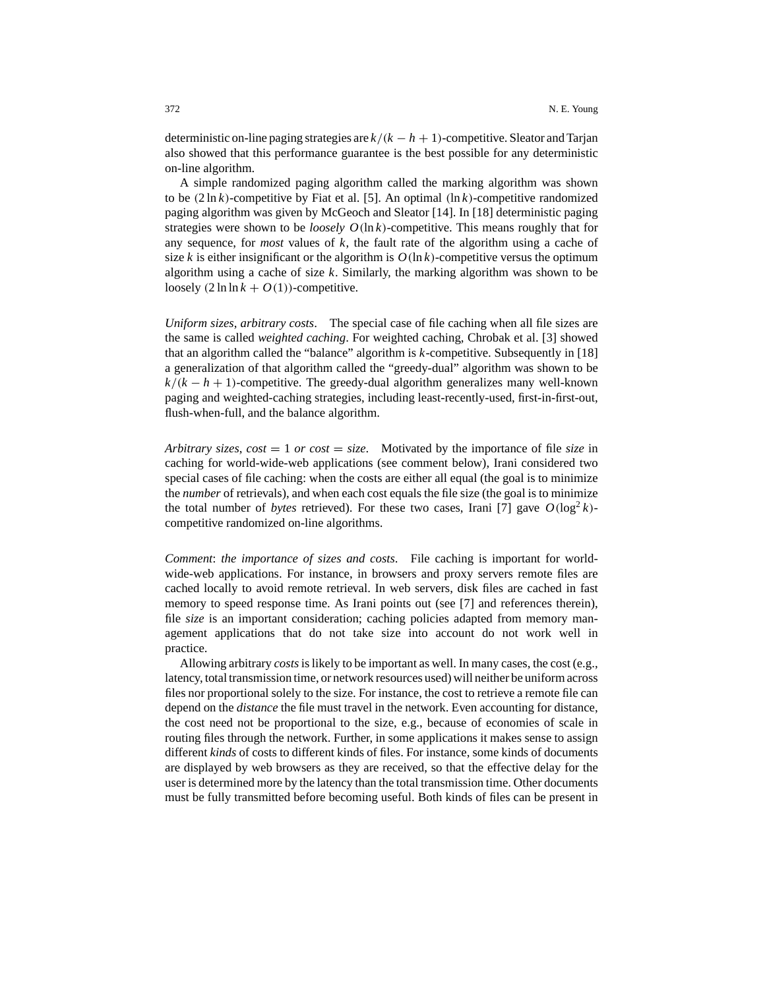deterministic on-line paging strategies are  $k/(k - h + 1)$ -competitive. Sleator and Tarjan also showed that this performance guarantee is the best possible for any deterministic on-line algorithm.

A simple randomized paging algorithm called the marking algorithm was shown to be  $(2 \ln k)$ -competitive by Fiat et al. [5]. An optimal  $(\ln k)$ -competitive randomized paging algorithm was given by McGeoch and Sleator [14]. In [18] deterministic paging strategies were shown to be *loosely O*( $\ln k$ )-competitive. This means roughly that for any sequence, for *most* values of *k*, the fault rate of the algorithm using a cache of size *k* is either insignificant or the algorithm is  $O(\ln k)$ -competitive versus the optimum algorithm using a cache of size *k*. Similarly, the marking algorithm was shown to be loosely  $(2 \ln \ln k + O(1))$ -competitive.

*Uniform sizes*, *arbitrary costs*. The special case of file caching when all file sizes are the same is called *weighted caching*. For weighted caching, Chrobak et al. [3] showed that an algorithm called the "balance" algorithm is *k*-competitive. Subsequently in [18] a generalization of that algorithm called the "greedy-dual" algorithm was shown to be  $k/(k - h + 1)$ -competitive. The greedy-dual algorithm generalizes many well-known paging and weighted-caching strategies, including least-recently-used, first-in-first-out, flush-when-full, and the balance algorithm.

*Arbitrary sizes*, *cost* = 1 *or cost* = *size*. Motivated by the importance of file *size* in caching for world-wide-web applications (see comment below), Irani considered two special cases of file caching: when the costs are either all equal (the goal is to minimize the *number* of retrievals), and when each cost equals the file size (the goal is to minimize the total number of *bytes* retrieved). For these two cases, Irani [7] gave  $O(\log^2 k)$ competitive randomized on-line algorithms.

*Comment*: *the importance of sizes and costs*. File caching is important for worldwide-web applications. For instance, in browsers and proxy servers remote files are cached locally to avoid remote retrieval. In web servers, disk files are cached in fast memory to speed response time. As Irani points out (see [7] and references therein), file *size* is an important consideration; caching policies adapted from memory management applications that do not take size into account do not work well in practice.

Allowing arbitrary *costs*is likely to be important as well. In many cases, the cost (e.g., latency, total transmission time, or network resources used) will neither be uniform across files nor proportional solely to the size. For instance, the cost to retrieve a remote file can depend on the *distance* the file must travel in the network. Even accounting for distance, the cost need not be proportional to the size, e.g., because of economies of scale in routing files through the network. Further, in some applications it makes sense to assign different *kinds* of costs to different kinds of files. For instance, some kinds of documents are displayed by web browsers as they are received, so that the effective delay for the user is determined more by the latency than the total transmission time. Other documents must be fully transmitted before becoming useful. Both kinds of files can be present in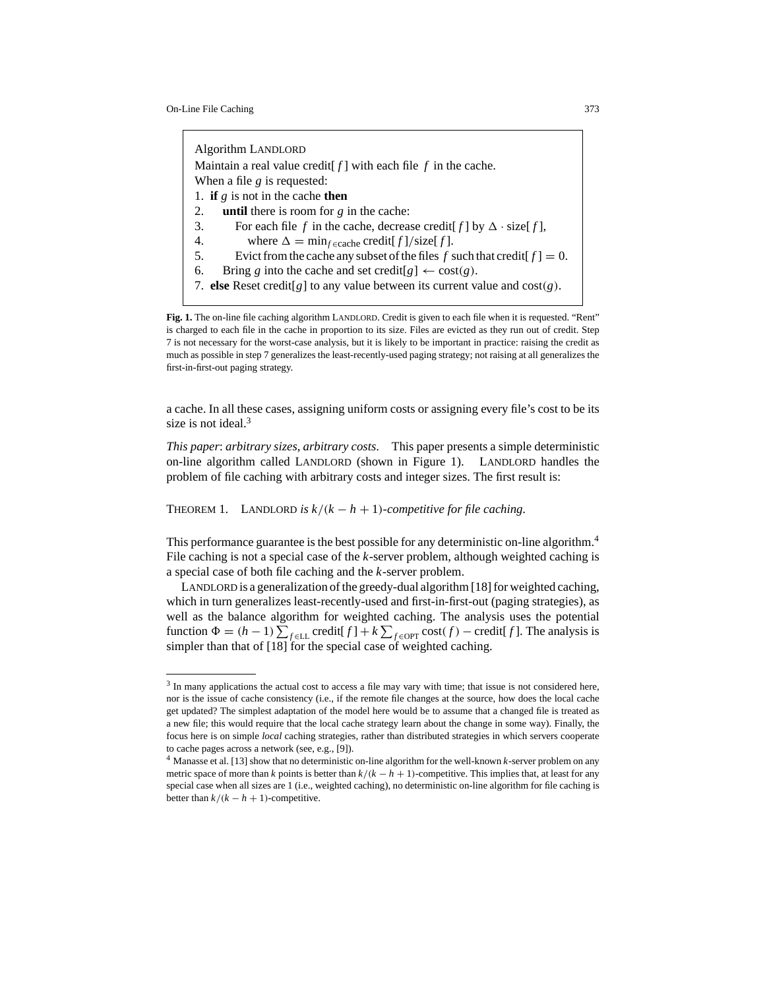Algorithm LANDLORD Maintain a real value credit  $f$  with each file  $f$  in the cache. When a file *g* is requested: 1. **if** *g* is not in the cache **then** 2. **until** there is room for *g* in the cache: 3. For each file *f* in the cache, decrease credit [ $f$ ] by  $\Delta \cdot \text{size}[f]$ , 4. where  $\Delta = \min_{f \in \text{cache}} \text{credit}[f]/\text{size}[f]$ .<br>5. Evict from the cache any subset of the files f s Evict from the cache any subset of the files  $f$  such that credit  $f$  = 0. 6. Bring *g* into the cache and set credit[ $g$ ]  $\leftarrow$  cost( $g$ ). 7. **else** Reset credit[*g*] to any value between its current value and cost(*g*).

**Fig. 1.** The on-line file caching algorithm LANDLORD. Credit is given to each file when it is requested. "Rent" is charged to each file in the cache in proportion to its size. Files are evicted as they run out of credit. Step 7 is not necessary for the worst-case analysis, but it is likely to be important in practice: raising the credit as much as possible in step 7 generalizes the least-recently-used paging strategy; not raising at all generalizes the first-in-first-out paging strategy.

a cache. In all these cases, assigning uniform costs or assigning every file's cost to be its size is not ideal. $3$ 

*This paper*: *arbitrary sizes*, *arbitrary costs*. This paper presents a simple deterministic on-line algorithm called LANDLORD (shown in Figure 1). LANDLORD handles the problem of file caching with arbitrary costs and integer sizes. The first result is:

THEOREM 1. LANDLORD is  $k/(k - h + 1)$ *-competitive for file caching*.

This performance guarantee is the best possible for any deterministic on-line algorithm.<sup>4</sup> File caching is not a special case of the *k*-server problem, although weighted caching is a special case of both file caching and the *k*-server problem.

LANDLORD is a generalization of the greedy-dual algorithm [18] for weighted caching, which in turn generalizes least-recently-used and first-in-first-out (paging strategies), as well as the balance algorithm for weighted caching. The analysis uses the potential function  $\Phi = (h-1) \sum_{f \in LL} \text{credit}[f] + k \sum_{f \in \text{OPT}} \text{cost}(f) - \text{credit}[f]$ . The analysis is simpler than that of [18] for the special case of weighted caching.

 $3$  In many applications the actual cost to access a file may vary with time; that issue is not considered here, nor is the issue of cache consistency (i.e., if the remote file changes at the source, how does the local cache get updated? The simplest adaptation of the model here would be to assume that a changed file is treated as a new file; this would require that the local cache strategy learn about the change in some way). Finally, the focus here is on simple *local* caching strategies, rather than distributed strategies in which servers cooperate to cache pages across a network (see, e.g., [9]).

<sup>4</sup> Manasse et al. [13] show that no deterministic on-line algorithm for the well-known *k*-server problem on any metric space of more than *k* points is better than  $k/(k - h + 1)$ -competitive. This implies that, at least for any special case when all sizes are 1 (i.e., weighted caching), no deterministic on-line algorithm for file caching is better than  $k/(k - h + 1)$ -competitive.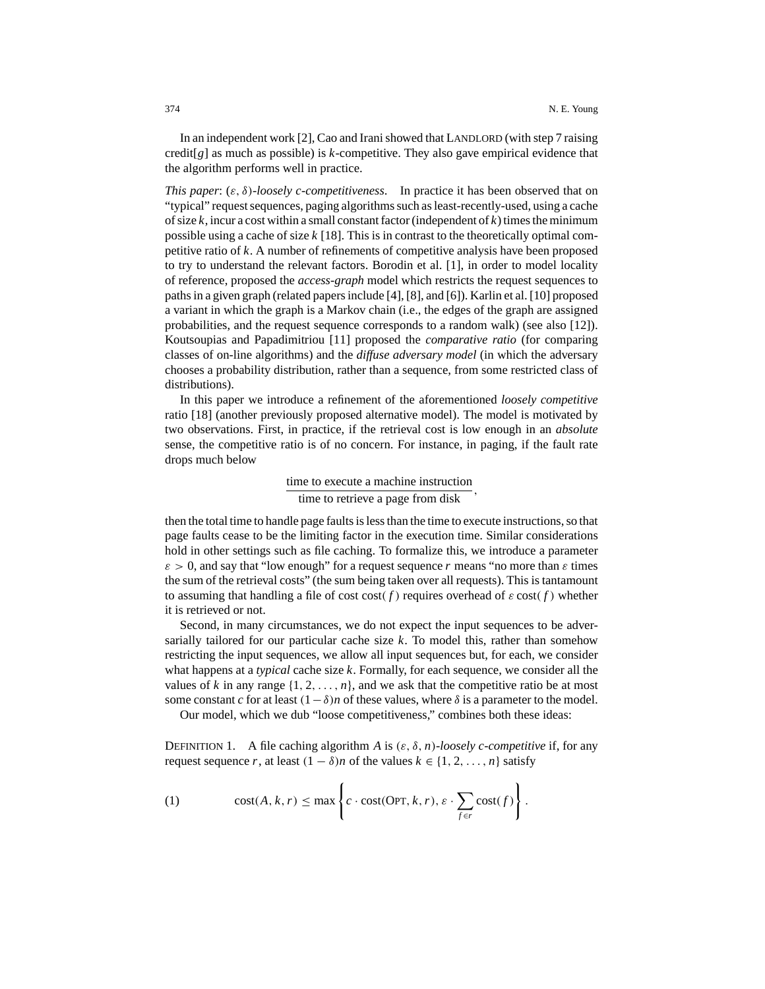In an independent work [2], Cao and Irani showed that LANDLORD (with step 7 raising credit $[g]$  as much as possible) is *k*-competitive. They also gave empirical evidence that the algorithm performs well in practice.

*This paper*: (ε, δ)*-loosely c-competitiveness*. In practice it has been observed that on "typical" request sequences, paging algorithms such as least-recently-used, using a cache of size *k*, incur a cost within a small constant factor (independent of *k*) times the minimum possible using a cache of size *k* [18]. This is in contrast to the theoretically optimal competitive ratio of *k*. A number of refinements of competitive analysis have been proposed to try to understand the relevant factors. Borodin et al. [1], in order to model locality of reference, proposed the *access-graph* model which restricts the request sequences to paths in a given graph (related papers include [4], [8], and [6]). Karlin et al. [10] proposed a variant in which the graph is a Markov chain (i.e., the edges of the graph are assigned probabilities, and the request sequence corresponds to a random walk) (see also [12]). Koutsoupias and Papadimitriou [11] proposed the *comparative ratio* (for comparing classes of on-line algorithms) and the *diffuse adversary model* (in which the adversary chooses a probability distribution, rather than a sequence, from some restricted class of distributions).

In this paper we introduce a refinement of the aforementioned *loosely competitive* ratio [18] (another previously proposed alternative model). The model is motivated by two observations. First, in practice, if the retrieval cost is low enough in an *absolute* sense, the competitive ratio is of no concern. For instance, in paging, if the fault rate drops much below

## time to execute a machine instruction time to retrieve a page from disk

then the total time to handle page faults is less than the time to execute instructions, so that page faults cease to be the limiting factor in the execution time. Similar considerations hold in other settings such as file caching. To formalize this, we introduce a parameter  $\varepsilon > 0$ , and say that "low enough" for a request sequence r means "no more than  $\varepsilon$  times the sum of the retrieval costs" (the sum being taken over all requests). This is tantamount to assuming that handling a file of cost  $cost(f)$  requires overhead of  $\epsilon cost(f)$  whether it is retrieved or not.

Second, in many circumstances, we do not expect the input sequences to be adversarially tailored for our particular cache size *k*. To model this, rather than somehow restricting the input sequences, we allow all input sequences but, for each, we consider what happens at a *typical* cache size *k*. Formally, for each sequence, we consider all the values of k in any range  $\{1, 2, \ldots, n\}$ , and we ask that the competitive ratio be at most some constant *c* for at least  $(1 - \delta)n$  of these values, where  $\delta$  is a parameter to the model.

Our model, which we dub "loose competitiveness," combines both these ideas:

DEFINITION 1. A file caching algorithm *A* is  $(\varepsilon, \delta, n)$ *-loosely c-competitive* if, for any request sequence *r*, at least  $(1 - \delta)n$  of the values  $k \in \{1, 2, ..., n\}$  satisfy

(1) 
$$
\text{cost}(A, k, r) \leq \max \left\{ c \cdot \text{cost}(\text{OPT}, k, r), \varepsilon \cdot \sum_{f \in r} \text{cost}(f) \right\}.
$$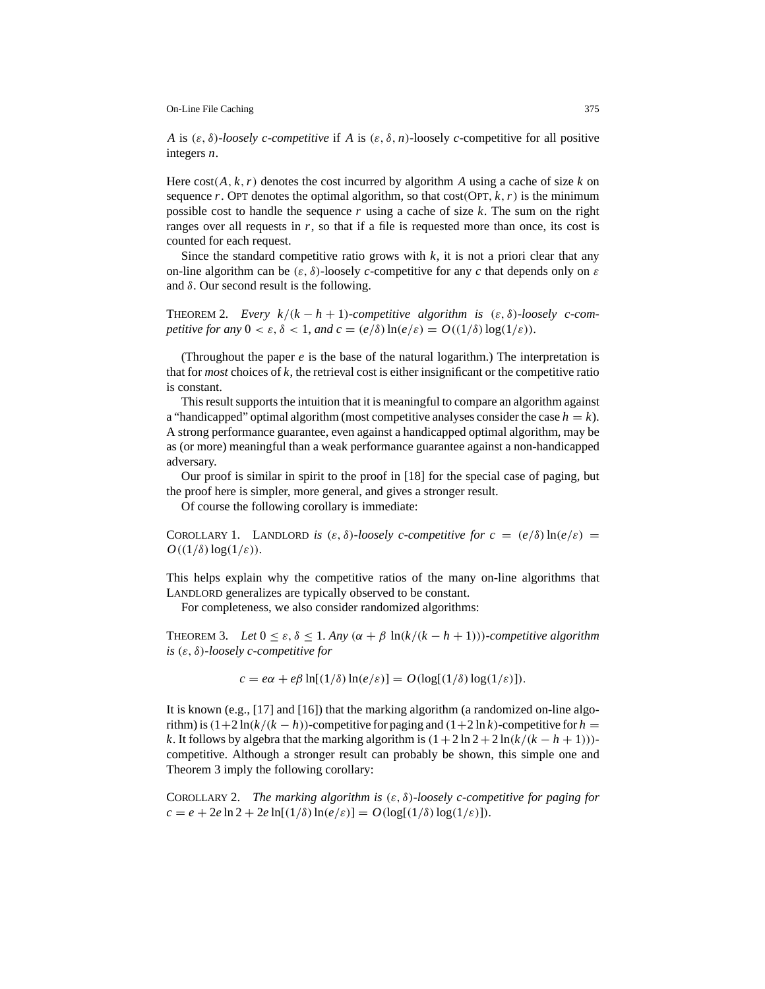*A* is  $(\varepsilon, \delta)$ -loosely *c*-competitive if *A* is  $(\varepsilon, \delta, n)$ -loosely *c*-competitive for all positive integers *n*.

Here  $cost(A, k, r)$  denotes the cost incurred by algorithm *A* using a cache of size *k* on sequence *r*. OPT denotes the optimal algorithm, so that cost(OPT,  $k$ ,  $r$ ) is the minimum possible cost to handle the sequence  $r$  using a cache of size  $k$ . The sum on the right ranges over all requests in *r*, so that if a file is requested more than once, its cost is counted for each request.

Since the standard competitive ratio grows with  $k$ , it is not a priori clear that any on-line algorithm can be  $(\varepsilon, \delta)$ -loosely *c*-competitive for any *c* that depends only on  $\varepsilon$ and  $\delta$ . Our second result is the following.

THEOREM 2. *Every k*/( $k - h + 1$ )-competitive algorithm is  $(\varepsilon, \delta)$ -loosely c-com*petitive for any*  $0 < \varepsilon$ ,  $\delta < 1$ , *and*  $c = (e/\delta) \ln(e/\varepsilon) = O((1/\delta) \log(1/\varepsilon))$ .

(Throughout the paper *e* is the base of the natural logarithm.) The interpretation is that for *most* choices of *k*, the retrieval cost is either insignificant or the competitive ratio is constant.

This result supports the intuition that it is meaningful to compare an algorithm against a "handicapped" optimal algorithm (most competitive analyses consider the case  $h = k$ ). A strong performance guarantee, even against a handicapped optimal algorithm, may be as (or more) meaningful than a weak performance guarantee against a non-handicapped adversary.

Our proof is similar in spirit to the proof in [18] for the special case of paging, but the proof here is simpler, more general, and gives a stronger result.

Of course the following corollary is immediate:

COROLLARY 1. LANDLORD *is*  $(\varepsilon, \delta)$ *-loosely c-competitive for*  $c = (e/\delta) \ln(e/\varepsilon)$  $O((1/\delta)\log(1/\varepsilon)).$ 

This helps explain why the competitive ratios of the many on-line algorithms that LANDLORD generalizes are typically observed to be constant.

For completeness, we also consider randomized algorithms:

THEOREM 3. Let  $0 \le \varepsilon$ ,  $\delta \le 1$ . Any  $(\alpha + \beta \ln(k/(k - h + 1)))$ *-competitive algorithm is* (ε, δ)*-loosely c-competitive for*

$$
c = e\alpha + e\beta \ln[(1/\delta)\ln(e/\varepsilon)] = O(\log[(1/\delta)\log(1/\varepsilon)]).
$$

It is known (e.g., [17] and [16]) that the marking algorithm (a randomized on-line algorithm) is  $(1+2 \ln(k/(k-h))$ -competitive for paging and  $(1+2 \ln k)$ -competitive for  $h =$ *k*. It follows by algebra that the marking algorithm is  $(1+2 \ln 2+2 \ln(k/(k-h+1)))$ competitive. Although a stronger result can probably be shown, this simple one and Theorem 3 imply the following corollary:

COROLLARY 2. *The marking algorithm is* (ε, δ)*-loosely c-competitive for paging for*  $c = e + 2e \ln 2 + 2e \ln[(1/\delta) \ln(e/\varepsilon)] = O(\log[(1/\delta) \log(1/\varepsilon)]).$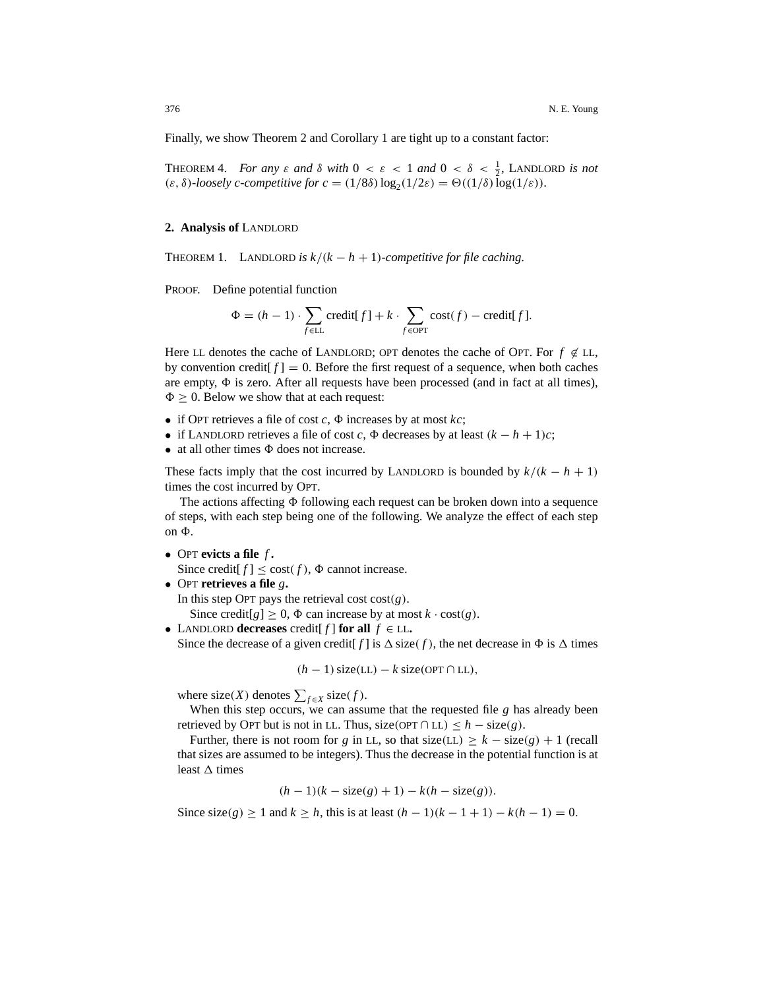Finally, we show Theorem 2 and Corollary 1 are tight up to a constant factor:

THEOREM 4. *For any*  $\varepsilon$  *and*  $\delta$  *with*  $0 < \varepsilon < 1$  *and*  $0 < \delta < \frac{1}{2}$ , LANDLORD *is not* (ε, δ)-loosely c-competitive for  $c = (1/8\delta) \log_2(1/2\varepsilon) = \Theta((1/\delta) \log(1/\varepsilon)).$ 

### **2. Analysis of** LANDLORD

THEOREM 1. LANDLORD is  $k/(k - h + 1)$ *-competitive for file caching.* 

PROOF. Define potential function

$$
\Phi = (h - 1) \cdot \sum_{f \in LL} \text{credit}[f] + k \cdot \sum_{f \in \text{OPT}} \text{cost}(f) - \text{credit}[f].
$$

Here LL denotes the cache of LANDLORD; OPT denotes the cache of OPT. For  $f \notin LL$ , by convention credit $[f] = 0$ . Before the first request of a sequence, when both caches are empty,  $\Phi$  is zero. After all requests have been processed (and in fact at all times),  $\Phi \geq 0$ . Below we show that at each request:

- if OPT retrieves a file of cost  $c$ ,  $\Phi$  increases by at most  $kc$ ;
- if LANDLORD retrieves a file of cost *c*,  $\Phi$  decreases by at least  $(k h + 1)c$ ;
- $\bullet$  at all other times  $\Phi$  does not increase.

These facts imply that the cost incurred by LANDLORD is bounded by  $k/(k - h + 1)$ times the cost incurred by OPT.

The actions affecting  $\Phi$  following each request can be broken down into a sequence of steps, with each step being one of the following. We analyze the effect of each step on  $\Phi$ .

• OPT **evicts a file** *f* **.**

Since credit $[f] \leq \text{cost}(f)$ ,  $\Phi$  cannot increase.

• OPT **retrieves a file** *g***.**

In this step OPT pays the retrieval cost  $cost(g)$ .

Since credit[ $g$ ]  $\geq$  0,  $\Phi$  can increase by at most  $k \cdot \text{cost}(g)$ .

• LANDLORD **decreases** credit  $f$  **for all**  $f \in LL$ .

Since the decrease of a given credit  $[f]$  is  $\Delta$  size( $f$ ), the net decrease in  $\Phi$  is  $\Delta$  times

$$
(h-1)
$$
 size $(LL) - k$  size $(OPT \cap LL)$ ,

where size(*X*) denotes  $\sum_{f \in X}$  size(*f*).

When this step occurs, we can assume that the requested file *g* has already been retrieved by OPT but is not in LL. Thus, size(OPT  $\cap$  LL)  $\leq h - \text{size}(g)$ .

Further, there is not room for *g* in LL, so that size(LL)  $\geq k - \text{size}(g) + 1$  (recall that sizes are assumed to be integers). Thus the decrease in the potential function is at least  $\Delta$  times

$$
(h-1)(k - size(g) + 1) - k(h - size(g)).
$$

Since size(*g*) ≥ 1 and *k* ≥ *h*, this is at least  $(h - 1)(k - 1 + 1) - k(h - 1) = 0$ .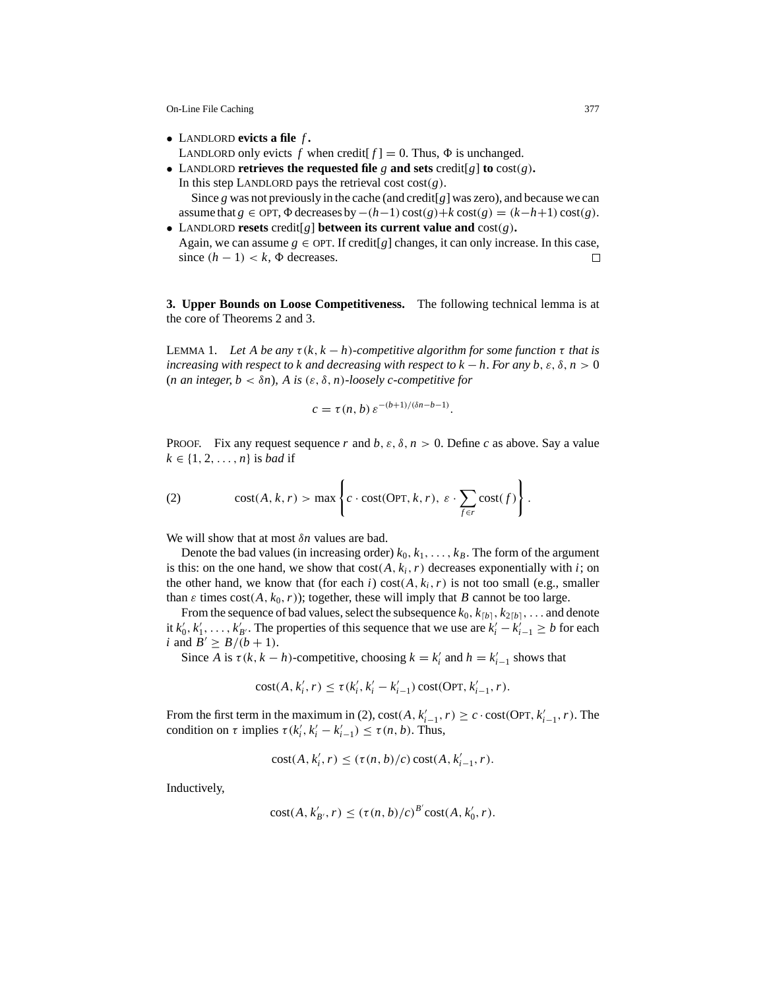- LANDLORD **evicts a file** *f* **.** LANDLORD only evicts f when credit $[f] = 0$ . Thus,  $\Phi$  is unchanged.
- LANDLORD **retrieves the requested file**  $g$  **and sets** credit[ $g$ ] **to** cost( $g$ ).

In this step LANDLORD pays the retrieval cost  $cost(g)$ . Since *g* was not previously in the cache (and credit[*g*] was zero), and because we can assume that *g* ∈ OPT,  $\Phi$  decreases by  $-(h-1)\cos(t) + k\cos(t) = (k-h+1)\cos(t)$ .

• LANDLORD **resets** credit[ $g$ ] **between its current value and**  $cost(g)$ **.** Again, we can assume  $g \in \text{OPT}$ . If credit[g] changes, it can only increase. In this case, since  $(h - 1) < k$ ,  $\Phi$  decreases.  $\Box$ 

**3. Upper Bounds on Loose Competitiveness.** The following technical lemma is at the core of Theorems 2 and 3.

LEMMA 1. *Let A be any* τ (*k*, *k* − *h*)*-competitive algorithm for some function* τ *that is increasing with respect to k and decreasing with respect to*  $k - h$ *. For any b,*  $\varepsilon$ *,*  $\delta$ *,*  $n > 0$ (*n* an integer,  $b < \delta n$ ), *A* is  $(\varepsilon, \delta, n)$ *-loosely c-competitive for* 

$$
c = \tau(n, b) \, \varepsilon^{-(b+1)/(\delta n - b - 1)}.
$$

PROOF. Fix any request sequence *r* and *b*,  $\varepsilon$ ,  $\delta$ ,  $n > 0$ . Define *c* as above. Say a value  $k \in \{1, 2, ..., n\}$  is *bad* if

(2) 
$$
\text{cost}(A, k, r) > \max \left\{ c \cdot \text{cost}(\text{OPT}, k, r), \ \varepsilon \cdot \sum_{f \in r} \text{cost}(f) \right\}.
$$

We will show that at most δ*n* values are bad.

Denote the bad values (in increasing order)  $k_0, k_1, \ldots, k_B$ . The form of the argument is this: on the one hand, we show that  $cost(A, k_i, r)$  decreases exponentially with *i*; on the other hand, we know that (for each  $i$ ) cost( $A$ ,  $k_i$ ,  $r$ ) is not too small (e.g., smaller than  $\varepsilon$  times  $cost(A, k_0, r)$ ); together, these will imply that *B* cannot be too large.

From the sequence of bad values, select the subsequence  $k_0$ ,  $k_{\lceil b \rceil}$ ,  $k_{\lceil b \rceil}$ , ... and denote it  $k'_0, k'_1, \ldots, k'_{B'}$ . The properties of this sequence that we use are  $k'_i - k'_{i-1} \ge b$  for each *i* and  $B' \geq B/(b+1)$ .

Since *A* is  $\tau(k, k - h)$ -competitive, choosing  $k = k'_i$  and  $h = k'_{i-1}$  shows that

$$
cost(A, k'_i, r) \le \tau(k'_i, k'_i - k'_{i-1}) cost(OPT, k'_{i-1}, r).
$$

From the first term in the maximum in (2),  $cost(A, k'_{i-1}, r) \ge c \cdot cost(OPT, k'_{i-1}, r)$ . The condition on  $\tau$  implies  $\tau$  ( $k'_i$ ,  $k'_i - k'_{i-1}$ )  $\leq \tau$  (*n*, *b*). Thus,

$$
cost(A, k'_i, r) \le (\tau(n, b)/c) \cot(A, k'_{i-1}, r).
$$

Inductively,

cost
$$
(A, k'_{B'}, r) \leq (\tau(n, b)/c)^{B'} \text{cost}(A, k'_{0}, r).
$$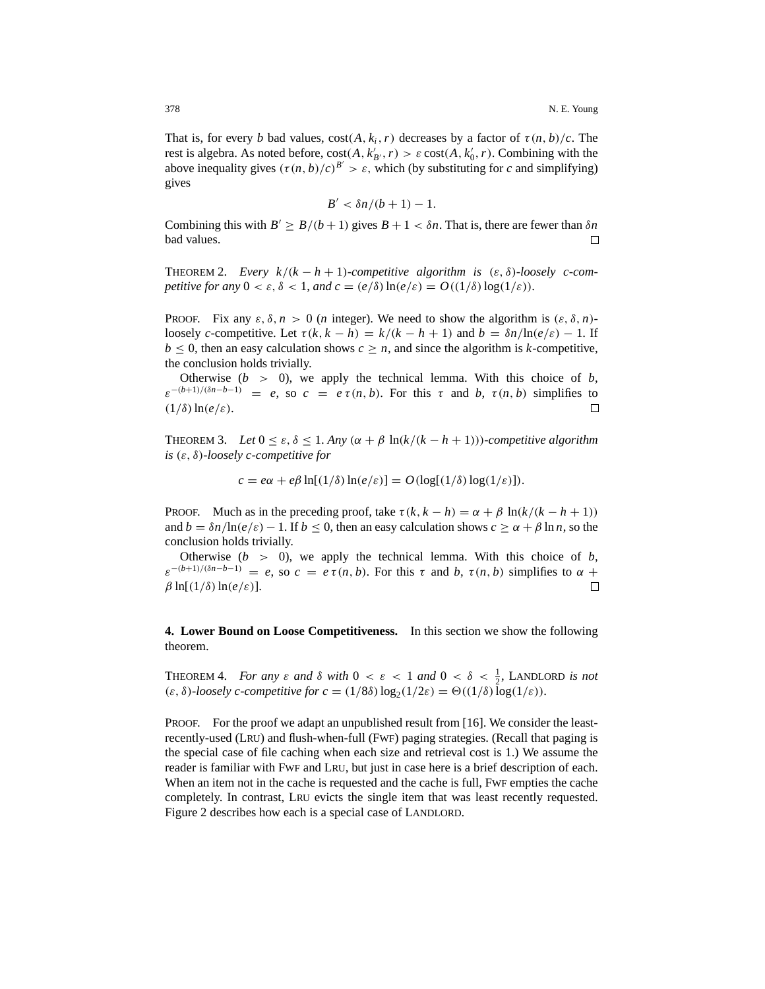That is, for every *b* bad values,  $cost(A, k_i, r)$  decreases by a factor of  $\tau(n, b)/c$ . The rest is algebra. As noted before,  $cost(A, k'_{B'}, r) > \varepsilon cost(A, k'_{0}, r)$ . Combining with the above inequality gives  $(\tau(n, b)/c)^{B'} > \varepsilon$ , which (by substituting for *c* and simplifying) gives

$$
B' < \delta n/(b+1) - 1.
$$

Combining this with  $B' \geq B/(b+1)$  gives  $B + 1 < \delta n$ . That is, there are fewer than  $\delta n$ bad values.  $\Box$ 

THEOREM 2. *Every*  $k/(k-h+1)$ -competitive algorithm is  $(\varepsilon, \delta)$ -loosely c-com*petitive for any*  $0 < \varepsilon$ ,  $\delta < 1$ , *and*  $c = (e/\delta) \ln(e/\varepsilon) = O((1/\delta) \log(1/\varepsilon))$ .

PROOF. Fix any  $\varepsilon$ ,  $\delta$ ,  $n > 0$  (*n* integer). We need to show the algorithm is  $(\varepsilon, \delta, n)$ loosely *c*-competitive. Let  $\tau(k, k - h) = k/(k - h + 1)$  and  $b = \delta n/\ln(e/\varepsilon) - 1$ . If  $b \leq 0$ , then an easy calculation shows  $c \geq n$ , and since the algorithm is *k*-competitive, the conclusion holds trivially.

Otherwise  $(b > 0)$ , we apply the technical lemma. With this choice of *b*,  $\varepsilon^{-(b+1)/(\delta n-b-1)} = e$ , so  $c = e \tau(n, b)$ . For this  $\tau$  and *b*,  $\tau(n, b)$  simplifies to (1/δ)ln(*e*/ε).  $\Box$ 

THEOREM 3. Let  $0 \le \varepsilon$ ,  $\delta \le 1$ . Any  $(\alpha + \beta \ln(k/(k - h + 1)))$ *-competitive algorithm is* (ε, δ)*-loosely c-competitive for*

$$
c = e\alpha + e\beta \ln[(1/\delta)\ln(e/\varepsilon)] = O(\log[(1/\delta)\log(1/\varepsilon)]).
$$

PROOF. Much as in the preceding proof, take  $\tau(k, k - h) = \alpha + \beta \ln(k/(k - h + 1))$ and  $b = \frac{\delta n}{\ln(e/\varepsilon)} - 1$ . If  $b \le 0$ , then an easy calculation shows  $c \ge \alpha + \beta \ln n$ , so the conclusion holds trivially.

Otherwise  $(b > 0)$ , we apply the technical lemma. With this choice of *b*,  $\varepsilon^{-(b+1)/(\delta n-b-1)} = e$ , so  $c = e \tau(n, b)$ . For this  $\tau$  and b,  $\tau(n, b)$  simplifies to  $\alpha +$  $β \ln[(1/δ) \ln(e/ε)].$ 口

**4. Lower Bound on Loose Competitiveness.** In this section we show the following theorem.

THEOREM 4. *For any*  $\varepsilon$  *and*  $\delta$  *with*  $0 < \varepsilon < 1$  *and*  $0 < \delta < \frac{1}{2}$ , LANDLORD *is not* (ε, δ)-loosely c-competitive for  $c = (1/8\delta) \log_2(1/2\varepsilon) = \Theta((1/\delta) \log(1/\varepsilon)).$ 

PROOF. For the proof we adapt an unpublished result from [16]. We consider the leastrecently-used (LRU) and flush-when-full (FWF) paging strategies. (Recall that paging is the special case of file caching when each size and retrieval cost is 1.) We assume the reader is familiar with FWF and LRU, but just in case here is a brief description of each. When an item not in the cache is requested and the cache is full, FWF empties the cache completely. In contrast, LRU evicts the single item that was least recently requested. Figure 2 describes how each is a special case of LANDLORD.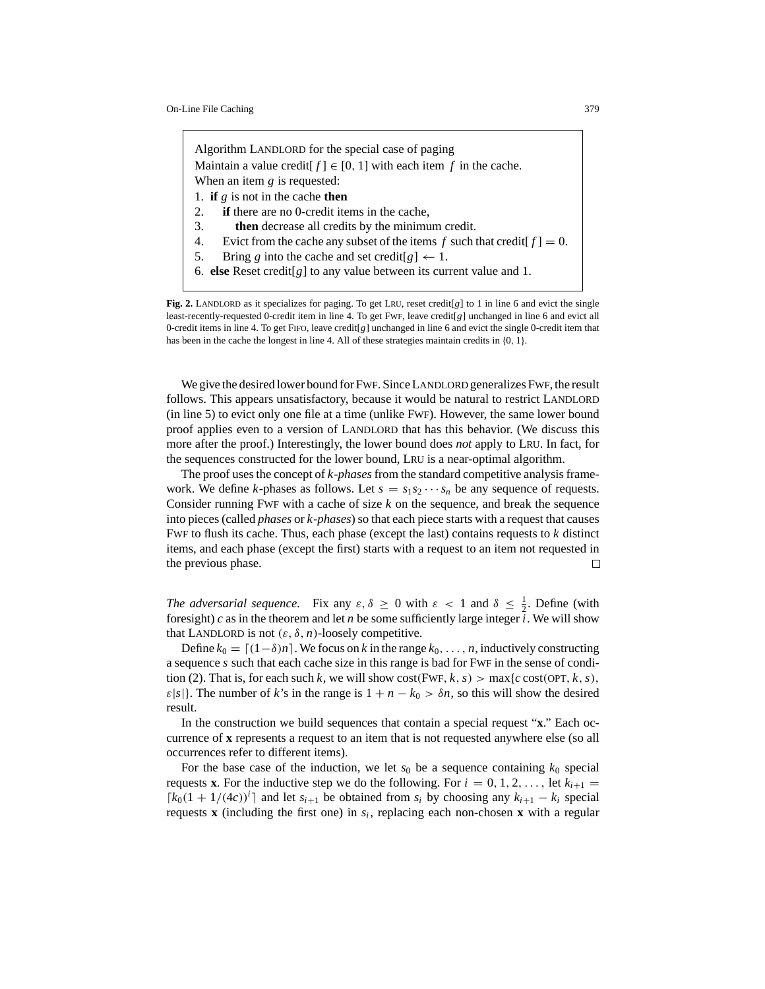Algorithm LANDLORD for the special case of paging Maintain a value credit  $f \in [0, 1]$  with each item f in the cache. When an item *g* is requested: 1. **if** *g* is not in the cache **then** 2. **if** there are no 0-credit items in the cache, 3. **then** decrease all credits by the minimum credit. 4. Evict from the cache any subset of the items  $f$  such that credit  $f$  = 0. 5. Bring *g* into the cache and set credit[ $g$ ]  $\leftarrow$  1.

6. **else** Reset credit[*g*] to any value between its current value and 1.

**Fig. 2.** LANDLORD as it specializes for paging. To get LRU, reset credit[ $g$ ] to 1 in line 6 and evict the single least-recently-requested 0-credit item in line 4. To get FWF, leave credit[*g*] unchanged in line 6 and evict all 0-credit items in line 4. To get FIFO, leave credit[*g*] unchanged in line 6 and evict the single 0-credit item that has been in the cache the longest in line 4. All of these strategies maintain credits in  $\{0, 1\}$ .

We give the desired lower bound for FWF. Since LANDLORD generalizes FWF, the result follows. This appears unsatisfactory, because it would be natural to restrict LANDLORD (in line 5) to evict only one file at a time (unlike FWF). However, the same lower bound proof applies even to a version of LANDLORD that has this behavior. (We discuss this more after the proof.) Interestingly, the lower bound does *not* apply to LRU. In fact, for the sequences constructed for the lower bound, LRU is a near-optimal algorithm.

The proof uses the concept of *k-phases*from the standard competitive analysis framework. We define *k*-phases as follows. Let  $s = s_1 s_2 \cdots s_n$  be any sequence of requests. Consider running FWF with a cache of size *k* on the sequence, and break the sequence into pieces (called *phases* or *k-phases*) so that each piece starts with a request that causes FWF to flush its cache. Thus, each phase (except the last) contains requests to *k* distinct items, and each phase (except the first) starts with a request to an item not requested in the previous phase.  $\Box$ 

*The adversarial sequence.* Fix any  $\varepsilon, \delta \geq 0$  with  $\varepsilon < 1$  and  $\delta \leq \frac{1}{2}$ . Define (with foresight) *c* as in the theorem and let *n* be some sufficiently large integer *i*. We will show that LANDLORD is not  $(\varepsilon, \delta, n)$ -loosely competitive.

Define  $k_0 = \lfloor (1-\delta)n \rfloor$ . We focus on *k* in the range  $k_0, \ldots, n$ , inductively constructing a sequence *s* such that each cache size in this range is bad for FWF in the sense of condition (2). That is, for each such *k*, we will show cost(FWF,  $k$ ,  $s$ ) > max{ $c$  cost(OPT,  $k$ ,  $s$ ),  $\varepsilon$ |s|}. The number of *k*'s in the range is  $1 + n - k_0 > \delta n$ , so this will show the desired result.

In the construction we build sequences that contain a special request "**x**." Each occurrence of **x** represents a request to an item that is not requested anywhere else (so all occurrences refer to different items).

For the base case of the induction, we let  $s_0$  be a sequence containing  $k_0$  special requests **x**. For the inductive step we do the following. For  $i = 0, 1, 2, \ldots$ , let  $k_{i+1} =$  $\lceil k_0(1 + 1/(4c))^i \rceil$  and let  $s_{i+1}$  be obtained from  $s_i$  by choosing any  $k_{i+1} - k_i$  special requests **x** (including the first one) in  $s_i$ , replacing each non-chosen **x** with a regular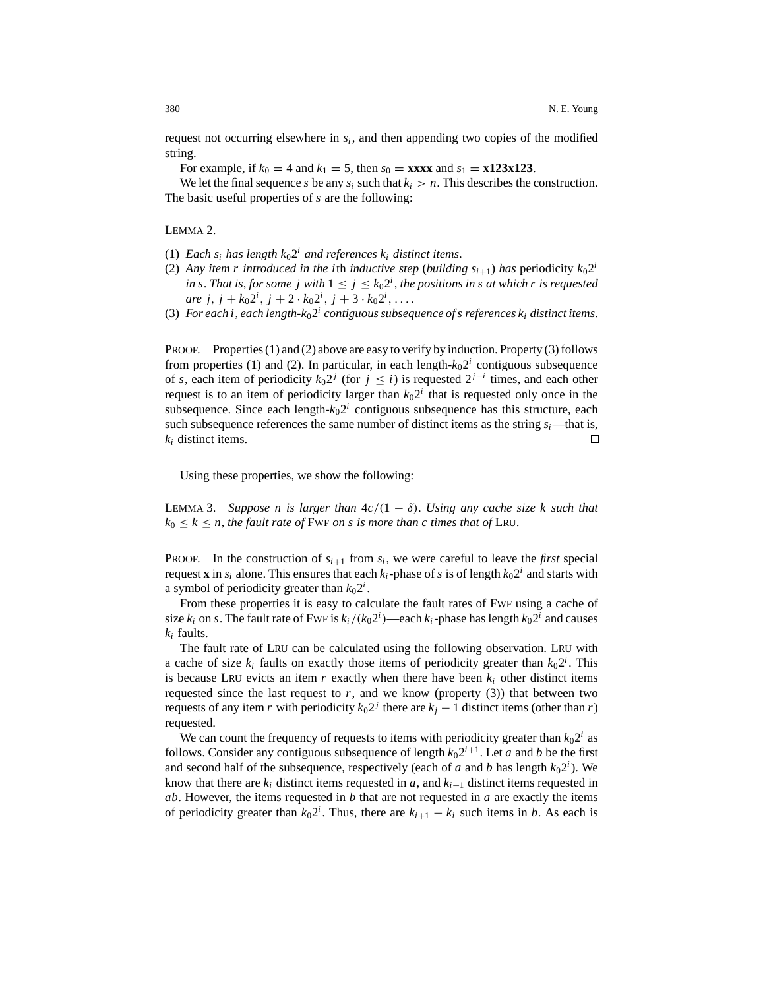request not occurring elsewhere in  $s_i$ , and then appending two copies of the modified string.

For example, if  $k_0 = 4$  and  $k_1 = 5$ , then  $s_0 =$ **xxxx** and  $s_1 =$ **x123x123**.

We let the final sequence *s* be any  $s_i$  such that  $k_i > n$ . This describes the construction. The basic useful properties of *s* are the following:

LEMMA 2.

- (1) *Each*  $s_i$  *has length*  $k_0 2^i$  *and references*  $k_i$  *distinct items.*
- (2) Any item r introduced in the ith inductive step (building  $s_{i+1}$ ) has periodicity  $k_0 2^i$ *in s*. *That is, for some j with*  $1 \leq j \leq k_0 2^i$ , *the positions in s at which r is requested*  $are\ j, j + k_0 2^i, j + 2 \cdot k_0 2^i, j + 3 \cdot k_0 2^i, \ldots$
- (3) *For each i*, *each length-k*<sup> $0$ </sup><sup>*zi*</sup> *contiguous subsequence of s references k<sub>i</sub> distinct items.*

PROOF. Properties (1) and (2) above are easy to verify by induction. Property (3) follows from properties (1) and (2). In particular, in each length- $k_0 2^i$  contiguous subsequence of *s*, each item of periodicity  $k_0 2^j$  (for  $j \le i$ ) is requested  $2^{j-i}$  times, and each other request is to an item of periodicity larger than  $k_0 2^i$  that is requested only once in the subsequence. Since each length- $k_0 2^i$  contiguous subsequence has this structure, each such subsequence references the same number of distinct items as the string  $s_i$ —that is, *ki* distinct items.  $\Box$ 

Using these properties, we show the following:

LEMMA 3. *Suppose n is larger than*  $4c/(1 - \delta)$ . *Using any cache size k such that*  $k_0 \leq k \leq n$ , the fault rate of FWF on s is more than c times that of LRU.

**PROOF.** In the construction of  $s_{i+1}$  from  $s_i$ , we were careful to leave the *first* special request **x** in  $s_i$  alone. This ensures that each  $k_i$ -phase of *s* is of length  $k_0 2^i$  and starts with a symbol of periodicity greater than  $k_0 2^i$ .

From these properties it is easy to calculate the fault rates of FWF using a cache of size  $k_i$  on *s*. The fault rate of FWF is  $k_i/(k_0 2^i)$ —each  $k_i$ -phase has length  $k_0 2^i$  and causes *ki* faults.

The fault rate of LRU can be calculated using the following observation. LRU with a cache of size  $k_i$  faults on exactly those items of periodicity greater than  $k_0 2^i$ . This is because LRU evicts an item  $r$  exactly when there have been  $k_i$  other distinct items requested since the last request to  $r$ , and we know (property  $(3)$ ) that between two requests of any item *r* with periodicity  $k_0 2^j$  there are  $k_i - 1$  distinct items (other than *r*) requested.

We can count the frequency of requests to items with periodicity greater than  $k_0 2^i$  as follows. Consider any contiguous subsequence of length  $k_0 2^{i+1}$ . Let *a* and *b* be the first and second half of the subsequence, respectively (each of *a* and *b* has length  $k_0 2^i$ ). We know that there are  $k_i$  distinct items requested in *a*, and  $k_{i+1}$  distinct items requested in *ab*. However, the items requested in *b* that are not requested in *a* are exactly the items of periodicity greater than  $k_0 2^i$ . Thus, there are  $k_{i+1} - k_i$  such items in *b*. As each is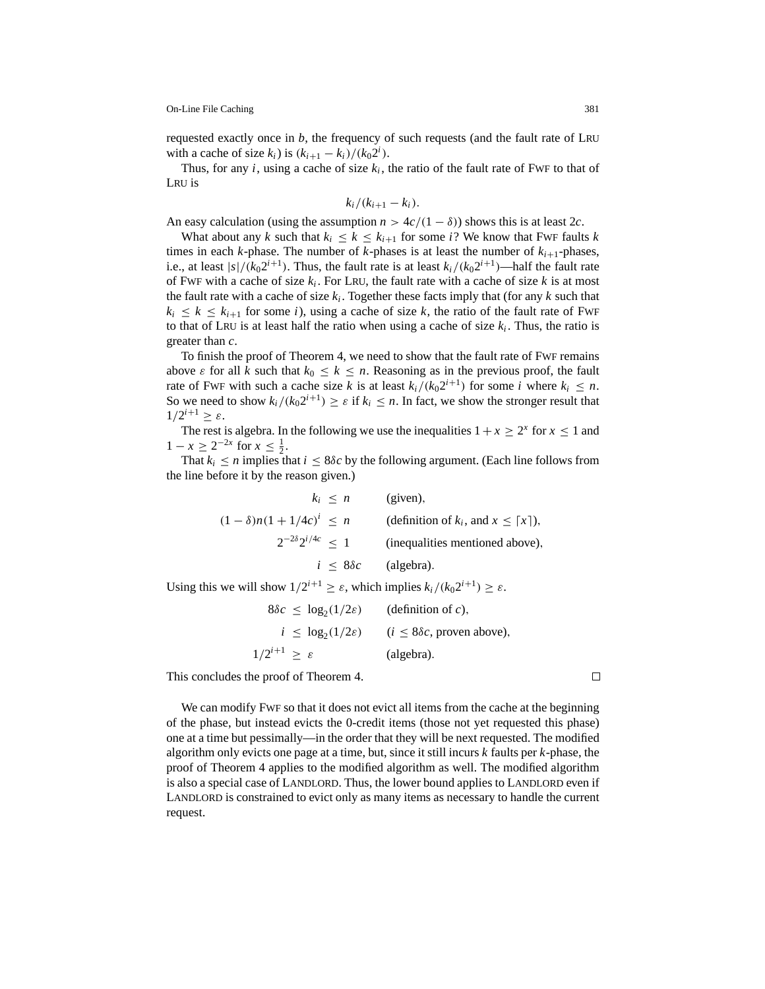requested exactly once in *b*, the frequency of such requests (and the fault rate of LRU with a cache of size  $k_i$ ) is  $(k_{i+1} - k_i)/(k_0 2^i)$ .

Thus, for any  $i$ , using a cache of size  $k_i$ , the ratio of the fault rate of FWF to that of LRU is

$$
k_i/(k_{i+1}-k_i).
$$

An easy calculation (using the assumption  $n > 4c/(1 - \delta)$ ) shows this is at least 2*c*.

What about any *k* such that  $k_i \leq k \leq k_{i+1}$  for some *i*? We know that FWF faults *k* times in each  $k$ -phase. The number of  $k$ -phases is at least the number of  $k_{i+1}$ -phases, i.e., at least  $|s|/(k_0 2^{i+1})$ . Thus, the fault rate is at least  $k_i/(k_0 2^{i+1})$ —half the fault rate of FWF with a cache of size  $k_i$ . For LRU, the fault rate with a cache of size  $k$  is at most the fault rate with a cache of size  $k_i$ . Together these facts imply that (for any  $k$  such that  $k_i \leq k \leq k_{i+1}$  for some *i*), using a cache of size *k*, the ratio of the fault rate of FWF to that of LRU is at least half the ratio when using a cache of size  $k_i$ . Thus, the ratio is greater than *c*.

To finish the proof of Theorem 4, we need to show that the fault rate of FWF remains above  $\varepsilon$  for all  $k$  such that  $k_0 \leq k \leq n$ . Reasoning as in the previous proof, the fault rate of FWF with such a cache size *k* is at least  $k_i / (k_0 2^{i+1})$  for some *i* where  $k_i \leq n$ . So we need to show  $k_i/(k_0 2^{i+1}) \geq \varepsilon$  if  $k_i \leq n$ . In fact, we show the stronger result that  $1/2^{i+1} \geq \varepsilon.$ 

The rest is algebra. In the following we use the inequalities  $1 + x \ge 2^x$  for  $x \le 1$  and  $1 - x \ge 2^{-2x}$  for  $x \le \frac{1}{2}$ .

That  $k_i \leq n$  implies that  $i \leq 8\delta c$  by the following argument. (Each line follows from the line before it by the reason given.)

| $k_i \leq n$                         | $(given)$ ,                                            |
|--------------------------------------|--------------------------------------------------------|
| $(1 - \delta)n(1 + 1/4c)^{i} \leq n$ | (definition of $k_i$ , and $x \leq \lceil x \rceil$ ), |
| $2^{-2\delta}2^{i/4c} < 1$           | (inequalities mentioned above),                        |
| $i < 8\delta c$                      | (algebra).                                             |

Using this we will show  $1/2^{i+1} \geq \varepsilon$ , which implies  $k_i / (k_0 2^{i+1}) \geq \varepsilon$ .

|                              | $8\delta c \leq \log_2(1/2\varepsilon)$ | (definition of $c$ ),                |
|------------------------------|-----------------------------------------|--------------------------------------|
|                              | $i \leq \log_2(1/2\varepsilon)$         | $(i \leq 8\delta c$ , proven above), |
| $1/2^{i+1} \geq \varepsilon$ |                                         | (algebra).                           |

This concludes the proof of Theorem 4.

We can modify FWF so that it does not evict all items from the cache at the beginning of the phase, but instead evicts the 0-credit items (those not yet requested this phase) one at a time but pessimally—in the order that they will be next requested. The modified algorithm only evicts one page at a time, but, since it still incurs *k* faults per *k*-phase, the proof of Theorem 4 applies to the modified algorithm as well. The modified algorithm is also a special case of LANDLORD. Thus, the lower bound applies to LANDLORD even if LANDLORD is constrained to evict only as many items as necessary to handle the current request.

 $\Box$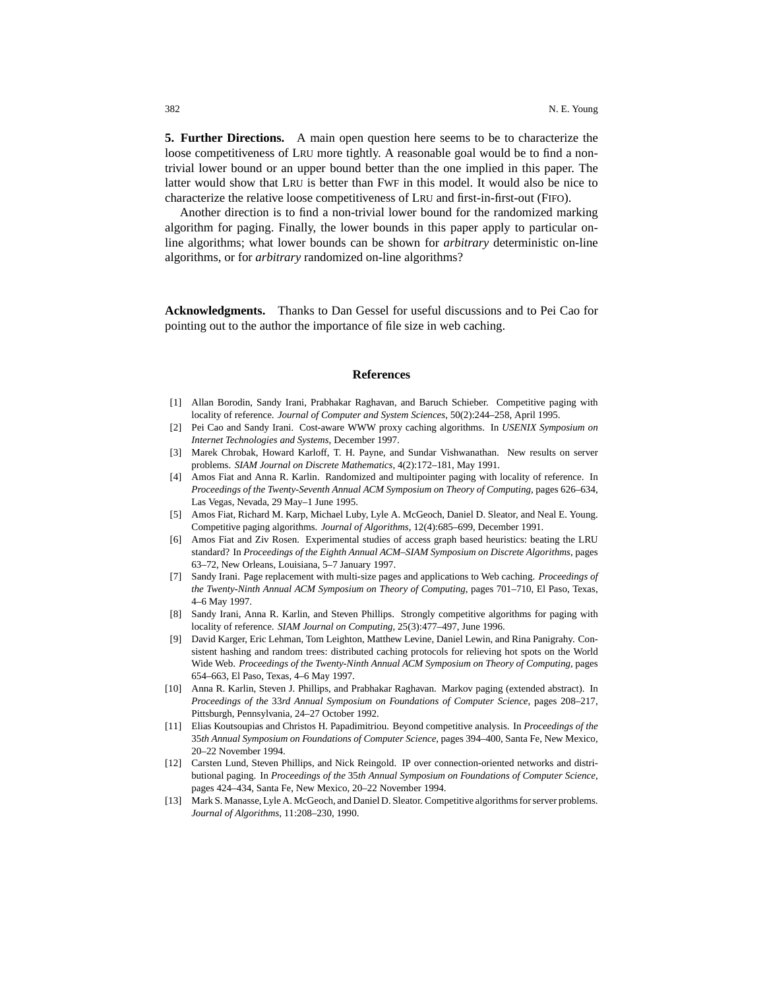**5. Further Directions.** A main open question here seems to be to characterize the loose competitiveness of LRU more tightly. A reasonable goal would be to find a nontrivial lower bound or an upper bound better than the one implied in this paper. The latter would show that LRU is better than FWF in this model. It would also be nice to characterize the relative loose competitiveness of LRU and first-in-first-out (FIFO).

Another direction is to find a non-trivial lower bound for the randomized marking algorithm for paging. Finally, the lower bounds in this paper apply to particular online algorithms; what lower bounds can be shown for *arbitrary* deterministic on-line algorithms, or for *arbitrary* randomized on-line algorithms?

**Acknowledgments.** Thanks to Dan Gessel for useful discussions and to Pei Cao for pointing out to the author the importance of file size in web caching.

#### **References**

- [1] Allan Borodin, Sandy Irani, Prabhakar Raghavan, and Baruch Schieber. Competitive paging with locality of reference. *Journal of Computer and System Sciences*, 50(2):244–258, April 1995.
- [2] Pei Cao and Sandy Irani. Cost-aware WWW proxy caching algorithms. In *USENIX Symposium on Internet Technologies and Systems*, December 1997.
- [3] Marek Chrobak, Howard Karloff, T. H. Payne, and Sundar Vishwanathan. New results on server problems. *SIAM Journal on Discrete Mathematics*, 4(2):172–181, May 1991.
- [4] Amos Fiat and Anna R. Karlin. Randomized and multipointer paging with locality of reference. In *Proceedings of the Twenty-Seventh Annual ACM Symposium on Theory of Computing*, pages 626–634, Las Vegas, Nevada, 29 May–1 June 1995.
- [5] Amos Fiat, Richard M. Karp, Michael Luby, Lyle A. McGeoch, Daniel D. Sleator, and Neal E. Young. Competitive paging algorithms. *Journal of Algorithms*, 12(4):685–699, December 1991.
- [6] Amos Fiat and Ziv Rosen. Experimental studies of access graph based heuristics: beating the LRU standard? In *Proceedings of the Eighth Annual ACM–SIAM Symposium on Discrete Algorithms*, pages 63–72, New Orleans, Louisiana, 5–7 January 1997.
- [7] Sandy Irani. Page replacement with multi-size pages and applications to Web caching. *Proceedings of the Twenty-Ninth Annual ACM Symposium on Theory of Computing*, pages 701–710, El Paso, Texas, 4–6 May 1997.
- [8] Sandy Irani, Anna R. Karlin, and Steven Phillips. Strongly competitive algorithms for paging with locality of reference. *SIAM Journal on Computing*, 25(3):477–497, June 1996.
- [9] David Karger, Eric Lehman, Tom Leighton, Matthew Levine, Daniel Lewin, and Rina Panigrahy. Consistent hashing and random trees: distributed caching protocols for relieving hot spots on the World Wide Web. *Proceedings of the Twenty-Ninth Annual ACM Symposium on Theory of Computing*, pages 654–663, El Paso, Texas, 4–6 May 1997.
- [10] Anna R. Karlin, Steven J. Phillips, and Prabhakar Raghavan. Markov paging (extended abstract). In *Proceedings of the* 33*rd Annual Symposium on Foundations of Computer Science*, pages 208–217, Pittsburgh, Pennsylvania, 24–27 October 1992.
- [11] Elias Koutsoupias and Christos H. Papadimitriou. Beyond competitive analysis. In *Proceedings of the* 35*th Annual Symposium on Foundations of Computer Science*, pages 394–400, Santa Fe, New Mexico, 20–22 November 1994.
- [12] Carsten Lund, Steven Phillips, and Nick Reingold. IP over connection-oriented networks and distributional paging. In *Proceedings of the* 35*th Annual Symposium on Foundations of Computer Science*, pages 424–434, Santa Fe, New Mexico, 20–22 November 1994.
- [13] Mark S. Manasse, Lyle A. McGeoch, and Daniel D. Sleator. Competitive algorithms for server problems. *Journal of Algorithms*, 11:208–230, 1990.